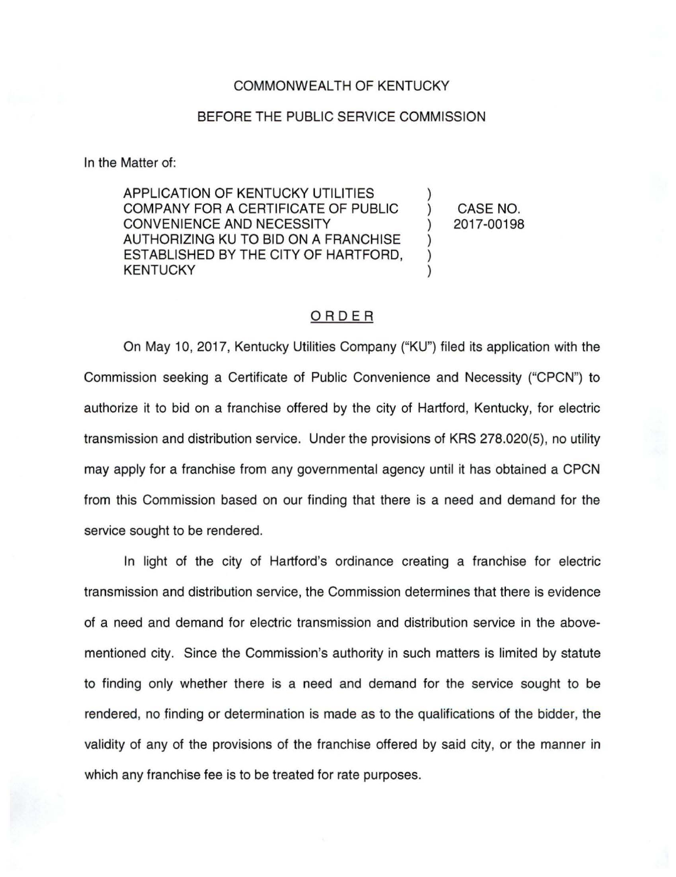#### COMMONWEALTH OF KENTUCKY

## BEFORE THE PUBLIC SERVICE COMMISSION

In the Matter of:

APPLICATION OF KENTUCKY UTILITIES COMPANY FOR A CERTIFICATE OF PUBLIC CONVENIENCE AND NECESSITY AUTHORIZING KU TO BID ON A FRANCHISE ESTABLISHED BY THE CITY OF HARTFORD, KENTUCKY

) CASE NO. ) 2017-00198

)

) ) )

# ORDER

On May 10, 2017, Kentucky Utilities Company ("KU") filed its application with the Commission seeking a Certificate of Public Convenience and Necessity ("CPCN") to authorize it to bid on a franchise offered by the city of Hartford, Kentucky, for electric transmission and distribution service. Under the provisions of KRS 278.020(5), no utility may apply for a franchise from any governmental agency until it has obtained a CPCN from this Commission based on our finding that there is a need and demand for the service sought to be rendered.

In light of the city of Hartford's ordinance creating a franchise for electric transmission and distribution service, the Commission determines that there is evidence of a need and demand for electric transmission and distribution service in the abovementioned city. Since the Commission's authority in such matters is limited by statute to finding only whether there is a need and demand for the service sought to be rendered, no finding or determination is made as to the qualifications of the bidder, the validity of any of the provisions of the franchise offered by said city, or the manner in which any franchise fee is to be treated for rate purposes.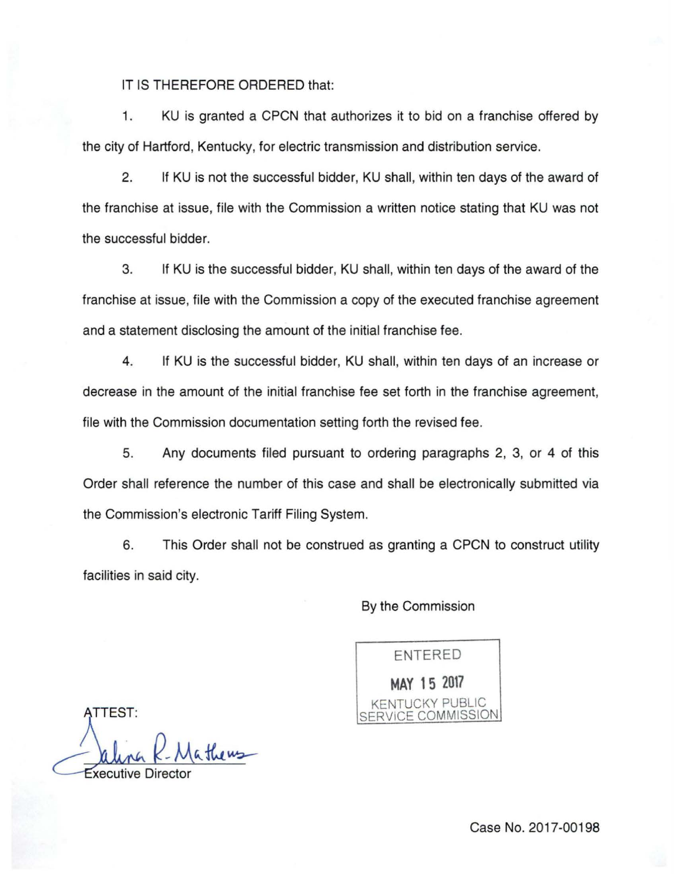## IT IS THEREFORE ORDERED that:

1. KU is granted a CPCN that authorizes it to bid on a franchise offered by the city of Hartford, Kentucky, for electric transmission and distribution service.

2. If KU is not the successful bidder, KU shall, within ten days of the award of the franchise at issue, file with the Commission a written notice stating that KU was not the successful bidder.

3. If KU is the successful bidder, KU shall, within ten days of the award of the franchise at issue, file with the Commission a copy of the executed franchise agreement and a statement disclosing the amount of the initial franchise fee.

4. If KU is the successful bidder, KU shall, within ten days of an increase or decrease in the amount of the initial franchise fee set forth in the franchise agreement, file with the Commission documentation setting forth the revised fee.

5. Any documents filed pursuant to ordering paragraphs 2, 3, or 4 of this Order shall reference the number of this case and shall be electronically submitted via the Commission's electronic Tariff Filing System.

6. This Order shall not be construed as granting a CPCN to construct utility facilities in said city.

## By the Commission

ENTERED **MAY 15 2017**  TUCKY PUBLIC SERVICE COMMISSION

ATTEST: <u>Calina R.M</u> Mathews

Case No. 2017-00198